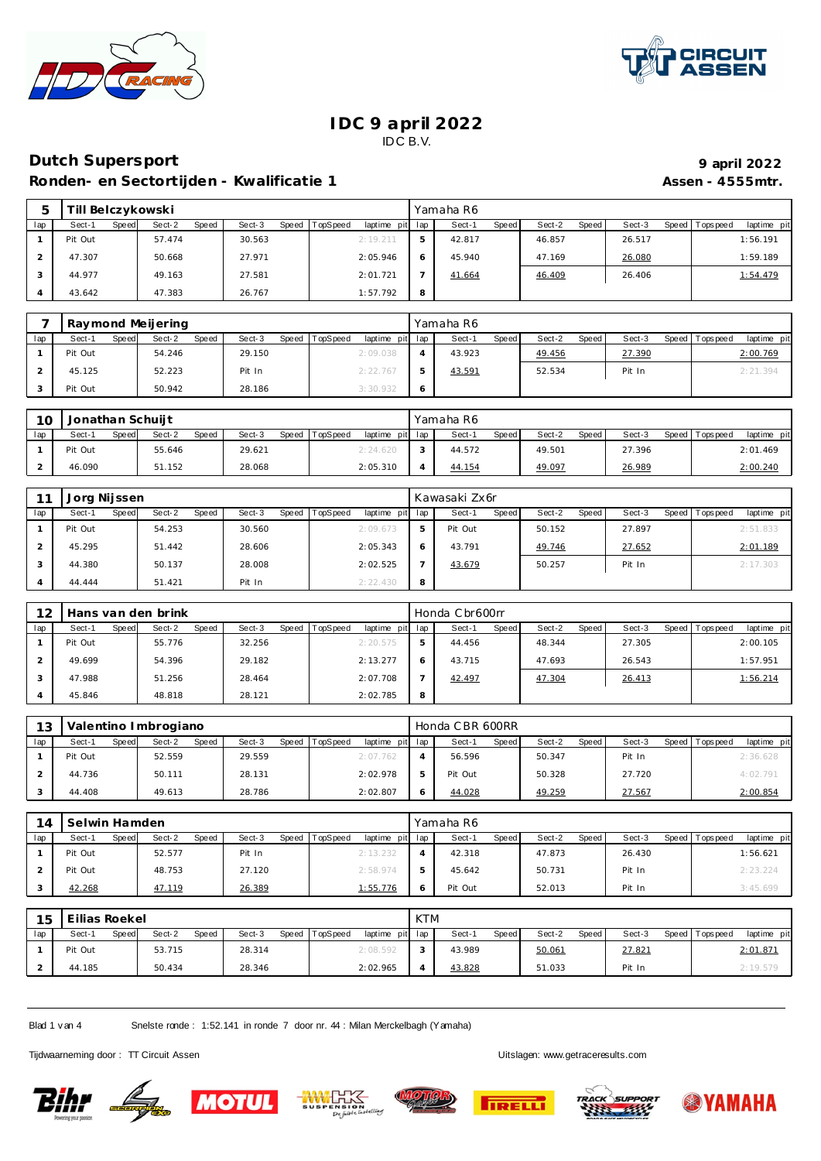



# **Dutch Supersport 9 april 2022**

Ronden- en Sectortijden - Kwalificatie 1 **Assen - 4555mtr.** Assen - 4555mtr.

| 5   | -ill    |       | Belczykowski |       |        |       |          |                 |   | Yamaha R6 |       |        |       |        |         |             |            |  |
|-----|---------|-------|--------------|-------|--------|-------|----------|-----------------|---|-----------|-------|--------|-------|--------|---------|-------------|------------|--|
| lap | Sect-1  | Speed | Sect-2       | Speed | Sect-3 | Speed | TopSpeed | laptime pit lap |   | Sect-1    | Speed | Sect-2 | Speed | Sect-3 | Speed I | T ops pee d | laptime pi |  |
|     | Pit Out |       | 57.474       |       | 30.563 |       |          | 2:19.211        |   | 42.817    |       | 46.857 |       | 26.517 |         |             | 1:56.191   |  |
|     | 47.307  |       | 50.668       |       | 27.971 |       |          | 2:05.946        |   | 45.940    |       | 47.169 |       | 26.080 |         |             | 1:59.189   |  |
|     | 44.977  |       | 49.163       |       | 27.581 |       |          | 2:01.721        |   | 41.664    |       | 46.409 |       | 26.406 |         |             | 1:54.479   |  |
|     | 43.642  |       | 47.383       |       | 26.767 |       |          | 1:57.792        | 8 |           |       |        |       |        |         |             |            |  |

|     |         | Raymond Meijering        |                 |                             | Yamaha R6              |                 |        |                                |
|-----|---------|--------------------------|-----------------|-----------------------------|------------------------|-----------------|--------|--------------------------------|
| lap | Sect-1  | Sect-2<br>Speed<br>Speed | Sect-3<br>Speed | TopSpeed<br>laptime pit lap | Sect-1<br><b>Speed</b> | Sect-2<br>Speed | Sect-3 | Speed Tops peed<br>laptime pit |
|     | Pit Out | 54.246                   | 29.150          | 2:09.038                    | 43.923                 | 49.456          | 27.390 | 2:00.769                       |
|     | 45.125  | 52.223                   | Pit In          | 2:22.767                    | 43.591                 | 52.534          | Pit In | 2:21.394                       |
|     | Pit Out | 50.942                   | 28.186          | 3:30.932                    |                        |                 |        |                                |

| 10  | Jonathan Schuijt |       |        |              |        |       |          |                 |        | Yamaha R6 |              |        |       |        |                 |             |
|-----|------------------|-------|--------|--------------|--------|-------|----------|-----------------|--------|-----------|--------------|--------|-------|--------|-----------------|-------------|
| lap | Sect-1           | Speed | Sect-2 | <b>Speed</b> | Sect-3 | Speed | TopSpeed | laptime pit lap |        | Sect-1    | <b>Speed</b> | Sect-2 | Speed | Sect-3 | Speed Tops peed | laptime pit |
|     | Pit Out          |       | 55.646 |              | 29.621 |       |          | 2:24.620        | $\sim$ | 44.572    |              | 49.501 |       | 27.396 |                 | 2:01.469    |
|     | 46.090           |       | 51.152 |              | 28.068 |       |          | 2:05.310        |        | 44.154    |              | 49.097 |       | 26.989 |                 | 2:00.240    |

|     | Jorg Nijssen           |                 |                 |          |                 |   | Kawasaki Zx6r |              |        |       |        |       |           |             |
|-----|------------------------|-----------------|-----------------|----------|-----------------|---|---------------|--------------|--------|-------|--------|-------|-----------|-------------|
| lap | Sect-1<br><b>Speed</b> | Sect-2<br>Speed | Sect-3<br>Speed | TopSpeed | laptime pit lap |   | Sect-1        | <b>Speed</b> | Sect-2 | Speed | Sect-3 | Speed | Tops peed | laptime pit |
|     | Pit Out                | 54.253          | 30.560          | 2:09.673 |                 |   | Pit Out       |              | 50.152 |       | 27.897 |       |           | 2:51.833    |
|     | 45.295                 | 51.442          | 28.606          | 2:05.343 |                 |   | 43.791        |              | 49.746 |       | 27.652 |       |           | 2:01.189    |
|     | 44.380                 | 50.137          | 28.008          | 2:02.525 |                 |   | 43.679        |              | 50.257 |       | Pit In |       |           | 2:17.303    |
|     | 44.444                 | 51.421          | Pit In          | 2:22.430 |                 | 8 |               |              |        |       |        |       |           |             |

| 12  |         |       | Hans van den brink |       |        |       |          |             |     | Honda Cbr600rr |              |        |       |        |       |            |             |
|-----|---------|-------|--------------------|-------|--------|-------|----------|-------------|-----|----------------|--------------|--------|-------|--------|-------|------------|-------------|
| lap | Sect-1  | Speed | Sect-2             | Speed | Sect-3 | Speed | TopSpeed | laptime pit | lap | Sect-1         | <b>Speed</b> | Sect-2 | Speed | Sect-3 | Speed | Tops pee d | laptime pit |
|     | Pit Out |       | 55.776             |       | 32.256 |       |          | 2:20.575    | ь   | 44.456         |              | 48.344 |       | 27.305 |       |            | 2:00.105    |
|     | 49.699  |       | 54.396             |       | 29.182 |       |          | 2:13.277    | 6   | 43.715         |              | 47.693 |       | 26.543 |       |            | 1:57.951    |
|     | 47.988  |       | 51.256             |       | 28.464 |       |          | 2:07.708    |     | 42.497         |              | 47.304 |       | 26.413 |       |            | 1:56.214    |
|     | 45.846  |       | 48.818             |       | 28.121 |       |          | 2:02.785    | 8   |                |              |        |       |        |       |            |             |

| 13  |         |              | Valentino Imbrogiano |       |        |              |          |                 | Honda CBR 600RR |              |        |       |        |                   |             |
|-----|---------|--------------|----------------------|-------|--------|--------------|----------|-----------------|-----------------|--------------|--------|-------|--------|-------------------|-------------|
| lap | Sect-1  | <b>Speed</b> | Sect-2               | Speed | Sect-3 | <b>Speed</b> | TopSpeed | laptime pit lap | Sect-1          | <b>Speed</b> | Sect-2 | Speed | Sect-3 | Speed   Tops peed | laptime pit |
|     | Pit Out |              | 52.559               |       | 29.559 |              |          | 2:07.762        | 56.596          |              | 50.347 |       | Pit In |                   | 2:36.628    |
|     | 44.736  |              | 50.111               |       | 28.131 |              |          | 2:02.978        | Pit Out         |              | 50.328 |       | 27.720 |                   | 4:02.791    |
|     | 44.408  |              | 49.613               |       | 28.786 |              |          | 2:02.807        | 44.028          |              | 49.259 |       | 27.567 |                   | 2:00.854    |

| 14  | Selwin Hamden |                          |                 |          |                 | Yamaha R6 |              |        |       |        |                 |             |
|-----|---------------|--------------------------|-----------------|----------|-----------------|-----------|--------------|--------|-------|--------|-----------------|-------------|
| lap | Sect-1        | Sect-2<br>Speed<br>Speed | Sect-3<br>Speed | TopSpeed | laptime pit lap | Sect-1    | <b>Speed</b> | Sect-2 | Speed | Sect-3 | Speed Tops peed | laptime pit |
|     | Pit Out       | 52.577                   | Pit In          | 2:13.232 |                 | 42.318    |              | 47.873 |       | 26.430 |                 | 1:56.621    |
|     | Pit Out       | 48.753                   | 27.120          | 2:58.974 | b               | 45.642    |              | 50.731 |       | Pit In |                 | 2: 23.224   |
|     | 42.268        | 47.119                   | 26.389          | 1:55.776 | O               | Pit Out   |              | 52.013 |       | Pit In |                 | 3:45.699    |

| 15  | Eilias Roekel |       |        |       |        |       |          |                 | KTM |        |       |        |       |        |                   |             |
|-----|---------------|-------|--------|-------|--------|-------|----------|-----------------|-----|--------|-------|--------|-------|--------|-------------------|-------------|
| lap | Sect-1        | Speed | Sect-2 | Speed | Sect-3 | Speed | TopSpeed | laptime pit lap |     | Sect-1 | Speed | Sect-2 | Speed | Sect-3 | Speed   Tops peed | laptime pit |
|     | Pit Out       |       | 53.715 |       | 28.314 |       |          | 2:08.592        |     | 43.989 |       | 50.061 |       | 27.821 |                   | 2:01.871    |
|     | 44.185        |       | 50.434 |       | 28.346 |       |          | 2:02.965        |     | 43.828 |       | 51.033 |       | Pit In |                   | 2:19.579    |

Blad 1 v an 4 Snelste ronde : 1:52.141 in ronde 7 door nr. 44 : Milan Merckelbagh (Y amaha)

Tijdwaarneming door : TT Circuit Assen Uitslagen:<www.getraceresults.com>











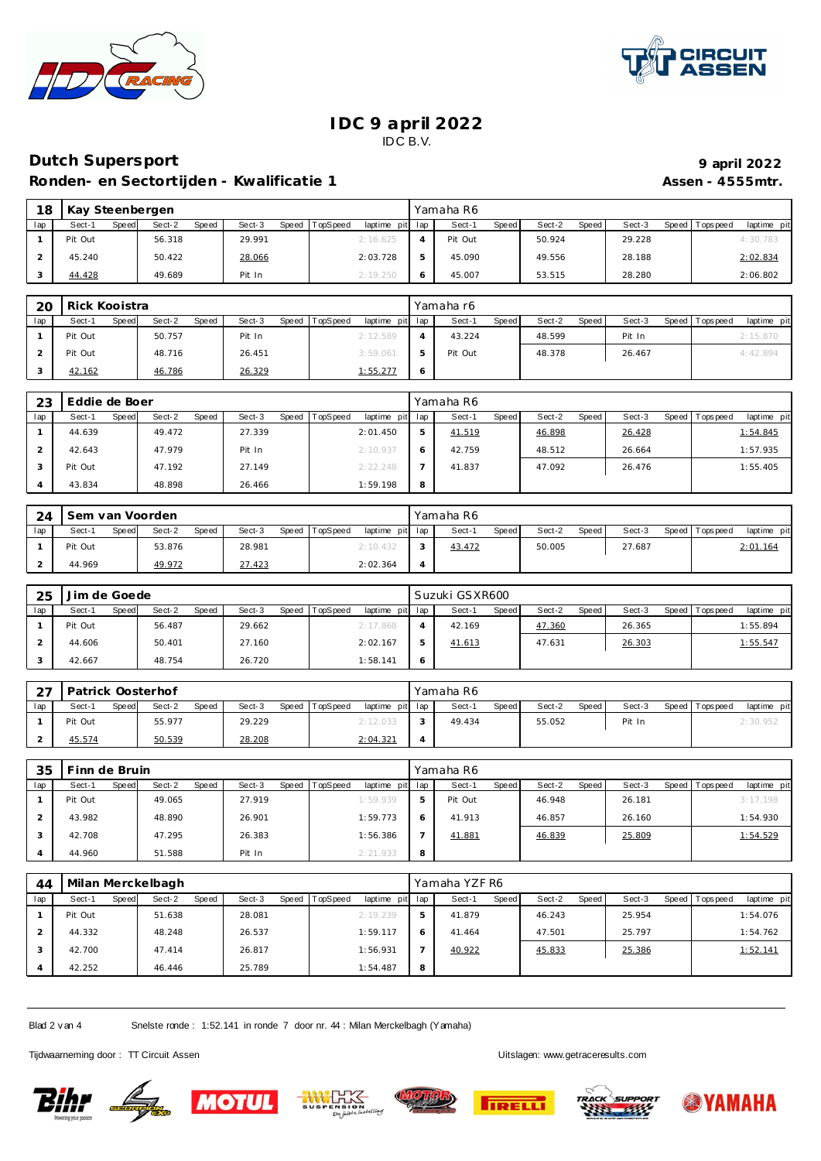



### **Dutch Supersport 9 april 2022** Ronden- en Sectortijden - Kwalificatie 1 **Assen - 4555mtr.** Assen - 4555mtr.

| 18  | Kay Steenbergen |       |        |       |        |       |                 |             |     | Yamaha R6 |       |        |       |        |                |             |
|-----|-----------------|-------|--------|-------|--------|-------|-----------------|-------------|-----|-----------|-------|--------|-------|--------|----------------|-------------|
| lap | Sect-1          | Speed | Sect-2 | Speed | Sect-3 | Speed | <b>TopSpeed</b> | laptime pit | lap | Sect-1    | Speed | Sect-2 | Speed | Sect-3 | Speed Topspeed | laptime pit |
|     | Pit Out         |       | 56.318 |       | 29.991 |       |                 | 2:16.625    |     | Pit Out   |       | 50.924 |       | 29.228 |                | 4:30.783    |
|     | 45.240          |       | 50.422 |       | 28.066 |       |                 | 2:03.728    |     | 45.090    |       | 49.556 |       | 28.188 |                | 2:02.834    |
|     | 44.428          |       | 49.689 |       | Pit In |       |                 | 2:19.250    |     | 45.007    |       | 53.515 |       | 28.280 |                | 2:06.802    |

| 20  | Rick Kooistra   |                 |                 |                                    | Yamaha r6              |                 |        |                                |
|-----|-----------------|-----------------|-----------------|------------------------------------|------------------------|-----------------|--------|--------------------------------|
| lap | Sect-1<br>Speed | Sect-2<br>Speed | Sect-3<br>Speed | laptime pit lap<br><b>TopSpeed</b> | Sect-1<br><b>Speed</b> | Sect-2<br>Speed | Sect-3 | laptime pit<br>Speed Tops peed |
|     | Pit Out         | 50.757          | Pit In          | 2:12.589                           | 43.224                 | 48.599          | Pit In | 2:15.870                       |
|     | Pit Out         | 48.716          | 26.451          | 3:59.061                           | Pit Out                | 48.378          | 26.467 | 4:42.894                       |
|     | 42.162          | 46.786          | 26.329          | 1:55.277                           |                        |                 |        |                                |

| 23  | Eddie de Boer   |                 |                 |                             |   | Yamaha R6              |                 |        |                               |
|-----|-----------------|-----------------|-----------------|-----------------------------|---|------------------------|-----------------|--------|-------------------------------|
| lap | Sect-1<br>Speed | Sect-2<br>Speed | Sect-3<br>Speed | TopSpeed<br>laptime pit lap |   | Sect-1<br><b>Speed</b> | Sect-2<br>Speed | Sect-3 | Speed Topspeed<br>laptime pit |
|     | 44.639          | 49.472          | 27.339          | 2:01.450                    |   | 41.519                 | 46.898          | 26.428 | 1:54.845                      |
|     | 42.643          | 47.979          | Pit In          | 2:10.937                    |   | 42.759                 | 48.512          | 26.664 | 1:57.935                      |
|     | Pit Out         | 47.192          | 27.149          | 2:22.248                    |   | 41.837                 | 47.092          | 26.476 | 1:55.405                      |
|     | 43.834          | 48.898          | 26.466          | 1:59.198                    | 8 |                        |                 |        |                               |

| 24  | Sem van Voorden<br>Speed TopSpeed<br>Sect-2<br><b>Speed</b><br>Sect-3<br>Sect-1<br><b>Speed</b> |  |        |  |        |  |  | Yamaha R6       |        |       |        |       |        |                   |             |
|-----|-------------------------------------------------------------------------------------------------|--|--------|--|--------|--|--|-----------------|--------|-------|--------|-------|--------|-------------------|-------------|
| lap |                                                                                                 |  |        |  |        |  |  | laptime pit lap | Sect-1 | Speed | Sect-2 | Speed | Sect-3 | Speed   Tops peed | laptime pit |
|     | Pit Out                                                                                         |  | 53.876 |  | 28.981 |  |  | 2:10.432        | 43.472 |       | 50.005 |       | 27.687 |                   | 2:01.164    |
|     | 44.969                                                                                          |  | 49.972 |  | 27.423 |  |  | 2:02.364        |        |       |        |       |        |                   |             |

| 25  | Jim de Goede |       |        |       |        |       |          |                 | Suzuki GSXR600 |              |        |              |        |                 |             |
|-----|--------------|-------|--------|-------|--------|-------|----------|-----------------|----------------|--------------|--------|--------------|--------|-----------------|-------------|
| lap | Sect-1       | Speed | Sect-2 | Speed | Sect-3 | Speed | TopSpeed | laptime pit lap | Sect-1         | <b>Speed</b> | Sect-2 | <b>Speed</b> | Sect-3 | Speed Tops peed | laptime pit |
|     | Pit Out      |       | 56.487 |       | 29.662 |       |          | 2:17.868        | 42.169         |              | 47.360 |              | 26.365 |                 | 1:55.894    |
|     | 44.606       |       | 50.401 |       | 27.160 |       |          | 2:02.167        | 41.613         |              | 47.631 |              | 26.303 |                 | 1:55.547    |
|     | 42.667       |       | 48.754 |       | 26.720 |       |          | 1:58.141        |                |              |        |              |        |                 |             |

| $\cap$ | Patrick Oosterhof |       |        |       |        |       |          |                 | Yamaha R6 |       |        |       |        |                   |             |
|--------|-------------------|-------|--------|-------|--------|-------|----------|-----------------|-----------|-------|--------|-------|--------|-------------------|-------------|
| lap    | Sect-1            | Speed | Sect-2 | Speed | Sect-3 | Speed | TopSpeed | laptime pit lap | Sect-1    | Speed | Sect-2 | Speed | Sect-3 | Speed   Tops peed | laptime pit |
|        | Pit Out           |       | 55.977 |       | 29.229 |       |          | 2:12.033        | 49.434    |       | 55.052 |       | Pit In |                   | 2:30.952    |
|        | 45.574            |       | 50.539 |       | 28.208 |       |          | 2:04.321        |           |       |        |       |        |                   |             |

| 35  | Finn de Bruin |       |        |       |        |       |          |             |     | Yamaha R6 |              |        |         |        |                |             |
|-----|---------------|-------|--------|-------|--------|-------|----------|-------------|-----|-----------|--------------|--------|---------|--------|----------------|-------------|
| lap | Sect-1        | Speed | Sect-2 | Speed | Sect-3 | Speed | TopSpeed | laptime pit | lap | Sect-1    | <b>Speed</b> | Sect-2 | Speed ! | Sect-3 | Speed Topspeed | laptime pit |
|     | Pit Out       |       | 49.065 |       | 27.919 |       |          | 1:59.939    | 5   | Pit Out   |              | 46.948 |         | 26.181 |                | 3:17.198    |
|     | 43.982        |       | 48.890 |       | 26.901 |       |          | 1:59.773    | 6   | 41.913    |              | 46.857 |         | 26.160 |                | 1:54.930    |
|     | 42.708        |       | 47.295 |       | 26.383 |       |          | 1:56.386    |     | 41.881    |              | 46.839 |         | 25.809 |                | 1:54.529    |
|     | 44.960        |       | 51.588 |       | Pit In |       |          | 2:21.933    | 8   |           |              |        |         |        |                |             |

| 44  |         | Milan Merckelbagh        |        |                               |     | Yamaha YZF R6   |                 |        |                               |
|-----|---------|--------------------------|--------|-------------------------------|-----|-----------------|-----------------|--------|-------------------------------|
| lap | Sect-1  | Sect-2<br>Speed<br>Speed | Sect-3 | Speed TopSpeed<br>laptime pit | lap | Speed<br>Sect-1 | Sect-2<br>Speed | Sect-3 | Speed Topspeed<br>laptime pit |
|     | Pit Out | 51.638                   | 28.081 | 2:19.239                      | ь   | 41.879          | 46.243          | 25.954 | 1:54.076                      |
|     | 44.332  | 48.248                   | 26.537 | 1:59.117                      | 6   | 41.464          | 47.501          | 25.797 | 1:54.762                      |
|     | 42.700  | 47.414                   | 26.817 | 1:56.931                      | -   | 40.922          | 45.833          | 25.386 | 1:52.141                      |
|     | 42.252  | 46.446                   | 25.789 | 1:54.487                      | 8   |                 |                 |        |                               |

Blad 2 v an 4 Snelste ronde : 1:52.141 in ronde 7 door nr. 44 : Milan Merckelbagh (Y amaha)

Tijdwaarneming door : TT Circuit Assen Uitslagen:<www.getraceresults.com>











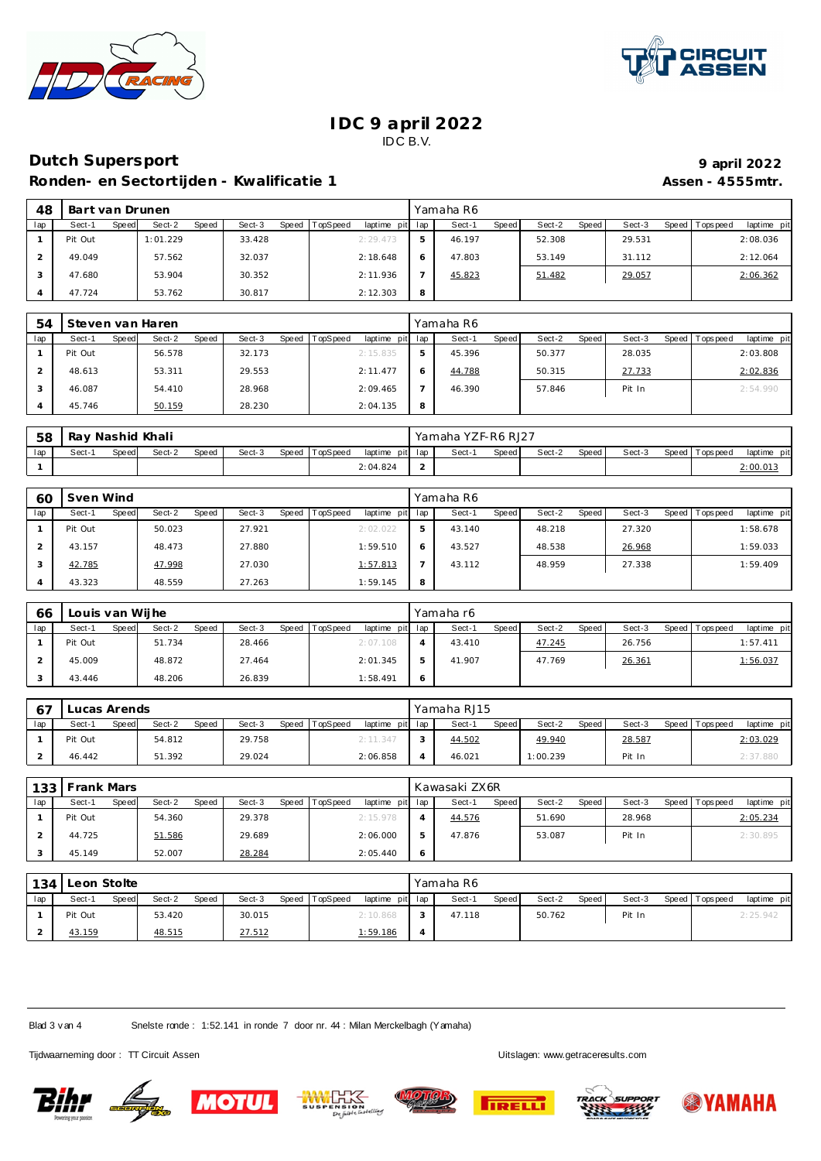



### **Dutch Supersport 9 april 2022**

Ronden- en Sectortijden - Kwalificatie 1 **Assen - 4555mtr.** Assen - 4555mtr.

| 48  | Bart van Drunen |                 |        |                                   |   | Yamaha R6       |                 |        |                                |
|-----|-----------------|-----------------|--------|-----------------------------------|---|-----------------|-----------------|--------|--------------------------------|
| lap | Sect-1<br>Speed | Sect-2<br>Speed | Sect-3 | Speed TopSpeed<br>laptime pit lap |   | Sect-1<br>Speed | Sect-2<br>Speed | Sect-3 | Speed Tops peed<br>laptime pit |
|     | Pit Out         | 1:01.229        | 33.428 | 2:29.473                          |   | 46.197          | 52.308          | 29.531 | 2:08.036                       |
|     | 49.049          | 57.562          | 32.037 | 2:18.648                          |   | 47.803          | 53.149          | 31.112 | 2:12.064                       |
|     | 47.680          | 53.904          | 30.352 | 2:11.936                          |   | 45.823          | 51.482          | 29.057 | 2:06.362                       |
|     | 47.724          | 53.762          | 30.817 | 2:12.303                          | 8 |                 |                 |        |                                |

| 54  | Steven van Haren |                 |                   |                 |                 |   | Yamaha R6 |       |        |       |        |                 |             |
|-----|------------------|-----------------|-------------------|-----------------|-----------------|---|-----------|-------|--------|-------|--------|-----------------|-------------|
| lap | Sect-1<br>Speed  | Sect-2<br>Speed | Speed T<br>Sect-3 | <b>TopSpeed</b> | laptime pit lap |   | Sect-1    | Speed | Sect-2 | Speed | Sect-3 | Speed Tops peed | laptime pit |
|     | Pit Out          | 56.578          | 32.173            |                 | 2:15.835        |   | 45.396    |       | 50.377 |       | 28.035 |                 | 2:03.808    |
|     | 48.613           | 53.311          | 29.553            |                 | 2:11.477        |   | 44.788    |       | 50.315 |       | 27.733 |                 | 2:02.836    |
|     | 46.087           | 54.410          | 28.968            |                 | 2:09.465        |   | 46.390    |       | 57.846 |       | Pit In |                 | 2:54.990    |
|     | 45.746           | 50.159          | 28.230            |                 | 2:04.135        | 8 |           |       |        |       |        |                 |             |

| 58  | Ray Nashid Khali |                                                            |  |  |  |  |  |          |                 | Yamaha YZF-R6 RJ27 |              |        |       |        |                   |             |  |
|-----|------------------|------------------------------------------------------------|--|--|--|--|--|----------|-----------------|--------------------|--------------|--------|-------|--------|-------------------|-------------|--|
| lap | Sect-'           | Sect-3<br>TopSpeed<br>Sect-2<br>Speed  <br>Speed<br>Speedl |  |  |  |  |  |          | laptime pit lap | Sect-              | <b>Speed</b> | Sect-2 | Speed | Sect-3 | Speed   Tops peed | laptime pit |  |
|     |                  |                                                            |  |  |  |  |  | 2:04.824 | -               |                    |              |        |       |        |                   | 2:00.01     |  |

| 60  | Sven Wind       |                 |        |                                   |   | Yamaha R6       |                 |        |                               |
|-----|-----------------|-----------------|--------|-----------------------------------|---|-----------------|-----------------|--------|-------------------------------|
| lap | Sect-1<br>Speed | Sect-2<br>Speed | Sect-3 | Speed TopSpeed<br>laptime pit lap |   | Speed<br>Sect-1 | Speed<br>Sect-2 | Sect-3 | laptime pit<br>Speed Topspeed |
|     | Pit Out         | 50.023          | 27.921 | 2:02.022                          |   | 43.140          | 48.218          | 27.320 | 1:58.678                      |
|     | 43.157          | 48.473          | 27.880 | 1:59.510                          |   | 43.527          | 48.538          | 26.968 | 1:59.033                      |
|     | 42.785          | 47.998          | 27.030 | 1:57.813                          |   | 43.112          | 48.959          | 27.338 | 1:59.409                      |
|     | 43.323          | 48.559          | 27.263 | 1:59.145                          | 8 |                 |                 |        |                               |

| 66  | Louis van Wijhe |       |        |       |        |       |                 |                 | Yamaha r6 |       |        |       |        |                 |             |
|-----|-----------------|-------|--------|-------|--------|-------|-----------------|-----------------|-----------|-------|--------|-------|--------|-----------------|-------------|
| lap | Sect-1          | Speed | Sect-2 | Speed | Sect-3 | Speed | <b>TopSpeed</b> | laptime pit lap | Sect-1    | Speed | Sect-2 | Speed | Sect-3 | Speed Tops peed | laptime pit |
|     | Pit Out         |       | 51.734 |       | 28.466 |       |                 | 2:07.108        | 43.410    |       | 47.245 |       | 26.756 |                 | 1:57.411    |
|     | 45.009          |       | 48.872 |       | 27.464 |       |                 | 2:01.345        | 41.907    |       | 47.769 |       | 26.361 |                 | 1:56.037    |
|     | 43.446          |       | 48.206 |       | 26.839 |       |                 | 1:58.491        |           |       |        |       |        |                 |             |

| 67  | Lucas Arends |       |        |       |        |       |          |                 | Yamaha RJ15 |              |          |       |        |                 |             |
|-----|--------------|-------|--------|-------|--------|-------|----------|-----------------|-------------|--------------|----------|-------|--------|-----------------|-------------|
| lap | Sect-1       | Speed | Sect-2 | Speed | Sect-3 | Speed | TopSpeed | laptime pit lap | Sect-1      | <b>Speed</b> | Sect-2   | Speed | Sect-3 | Speed Tops peed | laptime pit |
|     | Pit Out      |       | 54.812 |       | 29.758 |       |          | 2:11.347        | 44.502      |              | 49.940   |       | 28.587 |                 | 2:03.029    |
|     | 46.442       |       | 51.392 |       | 29.024 |       |          | 2:06.858        | 46.021      |              | 1:00.239 |       | Pit In |                 | 2:37.880    |

| 133 | <b>Frank Mars</b> |       |        |       |        |       |          |                 |   | Kawasaki ZX6R |              |        |       |        |                 |             |
|-----|-------------------|-------|--------|-------|--------|-------|----------|-----------------|---|---------------|--------------|--------|-------|--------|-----------------|-------------|
| lap | Sect-1            | Speed | Sect-2 | Speed | Sect-3 | Speed | TopSpeed | laptime pit lap |   | Sect-1        | <b>Speed</b> | Sect-2 | Speed | Sect-3 | Speed Tops peed | laptime pit |
|     | Pit Out           |       | 54.360 |       | 29.378 |       |          | 2:15.978        |   | 44.576        |              | 51.690 |       | 28.968 |                 | 2:05.234    |
|     | 44.725            |       | 51.586 |       | 29.689 |       |          | 2:06.000        |   | 47.876        |              | 53.087 |       | Pit In |                 | 2:30.895    |
|     | 45.149            |       | 52.007 |       | 28.284 |       |          | 2:05.440        | O |               |              |        |       |        |                 |             |

| 134 | Leon Stolte |                 |       |        |                |                 | Yamaha R6 |       |        |       |        |                 |             |
|-----|-------------|-----------------|-------|--------|----------------|-----------------|-----------|-------|--------|-------|--------|-----------------|-------------|
| lap | Sect-1      | Sect-2<br>Speed | Speed | Sect-3 | Speed TopSpeed | laptime pit lap | Sect-1    | Speed | Sect-2 | Speed | Sect-3 | Speed Tops peed | laptime pit |
|     | Pit Out     | 53.420          |       | 30.015 |                | 2:10.868        | 47.118    |       | 50.762 |       | Pit In |                 | 2:25.942    |
|     | 43.159      | 48.515          |       | 27.512 |                | 1:59.186        |           |       |        |       |        |                 |             |

Blad 3 v an 4 Snelste ronde : 1:52.141 in ronde 7 door nr. 44 : Milan Merckelbagh (Yamaha)

Tijdwaarneming door : TT Circuit Assen Uitslagen:<www.getraceresults.com>